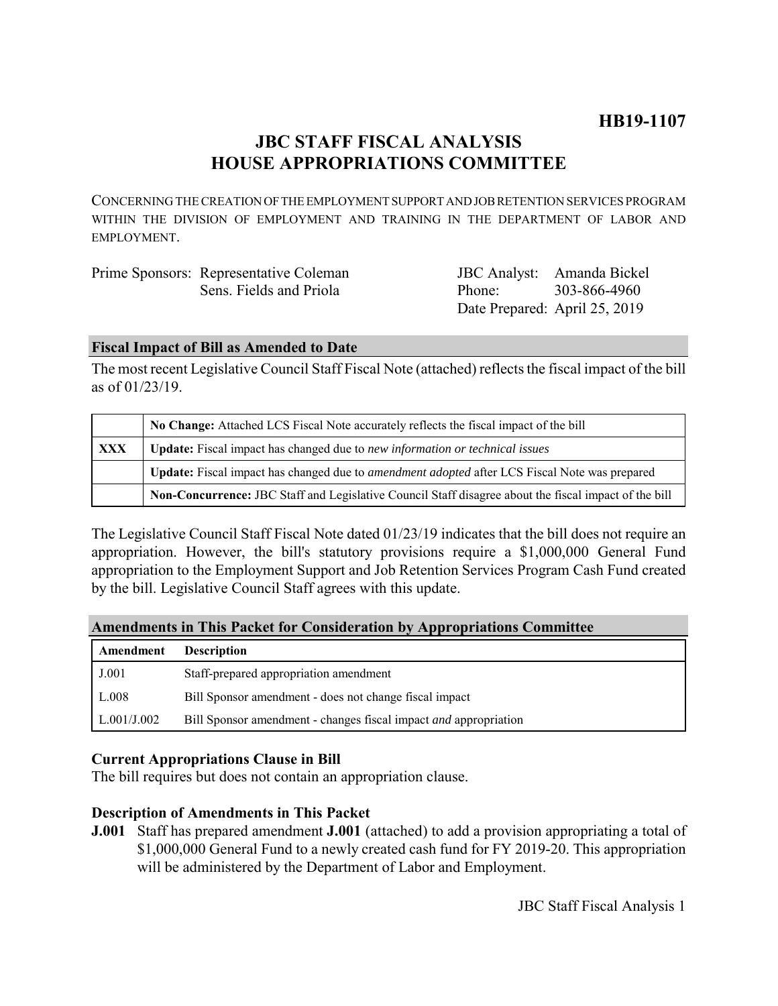# **JBC STAFF FISCAL ANALYSIS HOUSE APPROPRIATIONS COMMITTEE**

CONCERNING THE CREATION OF THE EMPLOYMENT SUPPORT AND JOB RETENTION SERVICES PROGRAM WITHIN THE DIVISION OF EMPLOYMENT AND TRAINING IN THE DEPARTMENT OF LABOR AND EMPLOYMENT.

| Prime Sponsors: Representative Coleman |                               | JBC Analyst: Amanda Bickel |
|----------------------------------------|-------------------------------|----------------------------|
| Sens. Fields and Priola                | Phone <sup>-</sup>            | 303-866-4960               |
|                                        | Date Prepared: April 25, 2019 |                            |

# **Fiscal Impact of Bill as Amended to Date**

The most recent Legislative Council Staff Fiscal Note (attached) reflects the fiscal impact of the bill as of 01/23/19.

|            | No Change: Attached LCS Fiscal Note accurately reflects the fiscal impact of the bill                       |  |
|------------|-------------------------------------------------------------------------------------------------------------|--|
| <b>XXX</b> | <b>Update:</b> Fiscal impact has changed due to new information or technical issues                         |  |
|            | <b>Update:</b> Fiscal impact has changed due to <i>amendment adopted</i> after LCS Fiscal Note was prepared |  |
|            | Non-Concurrence: JBC Staff and Legislative Council Staff disagree about the fiscal impact of the bill       |  |

The Legislative Council Staff Fiscal Note dated 01/23/19 indicates that the bill does not require an appropriation. However, the bill's statutory provisions require a \$1,000,000 General Fund appropriation to the Employment Support and Job Retention Services Program Cash Fund created by the bill. Legislative Council Staff agrees with this update.

# **Amendments in This Packet for Consideration by Appropriations Committee**

| Amendment   | <b>Description</b>                                               |
|-------------|------------------------------------------------------------------|
| J.001       | Staff-prepared appropriation amendment                           |
| L.008       | Bill Sponsor amendment - does not change fiscal impact           |
| L.001/J.002 | Bill Sponsor amendment - changes fiscal impact and appropriation |

# **Current Appropriations Clause in Bill**

The bill requires but does not contain an appropriation clause.

# **Description of Amendments in This Packet**

**J.001** Staff has prepared amendment **J.001** (attached) to add a provision appropriating a total of \$1,000,000 General Fund to a newly created cash fund for FY 2019-20. This appropriation will be administered by the Department of Labor and Employment.